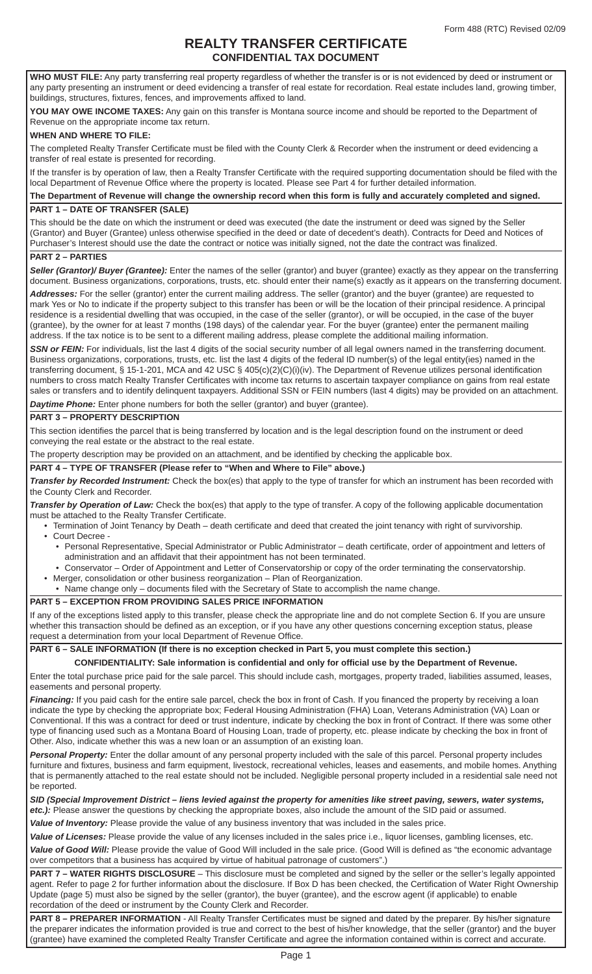## **REALTY TRANSFER CERTIFICATE CONFIDENTIAL TAX DOCUMENT**

**WHO MUST FILE:** Any party transferring real property regardless of whether the transfer is or is not evidenced by deed or instrument or any party presenting an instrument or deed evidencing a transfer of real estate for recordation. Real estate includes land, growing timber, buildings, structures, fixtures, fences, and improvements affixed to land.

**YOU MAY OWE INCOME TAXES:** Any gain on this transfer is Montana source income and should be reported to the Department of Revenue on the appropriate income tax return.

#### **WHEN AND WHERE TO FILE:**

The completed Realty Transfer Certificate must be filed with the County Clerk & Recorder when the instrument or deed evidencing a transfer of real estate is presented for recording.

If the transfer is by operation of law, then a Realty Transfer Certificate with the required supporting documentation should be filed with the local Department of Revenue Office where the property is located. Please see Part 4 for further detailed information.

**The Department of Revenue will change the ownership record when this form is fully and accurately completed and signed. PART 1 – DATE OF TRANSFER (SALE)**

This should be the date on which the instrument or deed was executed (the date the instrument or deed was signed by the Seller (Grantor) and Buyer (Grantee) unless otherwise specified in the deed or date of decedent's death). Contracts for Deed and Notices of Purchaser's Interest should use the date the contract or notice was initially signed, not the date the contract was finalized.

### **PART 2 – PARTIES**

**Seller (Grantor)/ Buyer (Grantee):** Enter the names of the seller (grantor) and buyer (grantee) exactly as they appear on the transferring document. Business organizations, corporations, trusts, etc. should enter their name(s) exactly as it appears on the transferring document.

*Addresses:* For the seller (grantor) enter the current mailing address. The seller (grantor) and the buyer (grantee) are requested to mark Yes or No to indicate if the property subject to this transfer has been or will be the location of their principal residence. A principal residence is a residential dwelling that was occupied, in the case of the seller (grantor), or will be occupied, in the case of the buyer (grantee), by the owner for at least 7 months (198 days) of the calendar year. For the buyer (grantee) enter the permanent mailing address. If the tax notice is to be sent to a different mailing address, please complete the additional mailing information.

**SSN or FEIN:** For individuals, list the last 4 digits of the social security number of all legal owners named in the transferring document. Business organizations, corporations, trusts, etc. list the last 4 digits of the federal ID number(s) of the legal entity(ies) named in the transferring document, § 15-1-201, MCA and 42 USC § 405(c)(2)(C)(i)(iv). The Department of Revenue utilizes personal identification numbers to cross match Realty Transfer Certificates with income tax returns to ascertain taxpayer compliance on gains from real estate sales or transfers and to identify delinquent taxpayers. Additional SSN or FEIN numbers (last 4 digits) may be provided on an attachment. *Daytime Phone:* Enter phone numbers for both the seller (grantor) and buyer (grantee).

### **PART 3 – PROPERTY DESCRIPTION**

This section identifies the parcel that is being transferred by location and is the legal description found on the instrument or deed conveying the real estate or the abstract to the real estate.

The property description may be provided on an attachment, and be identified by checking the applicable box.

#### **PART 4 – TYPE OF TRANSFER (Please refer to "When and Where to File" above.)**

*Transfer by Recorded Instrument:* Check the box(es) that apply to the type of transfer for which an instrument has been recorded with the County Clerk and Recorder.

*Transfer by Operation of Law:* Check the box(es) that apply to the type of transfer. A copy of the following applicable documentation must be attached to the Realty Transfer Certificate.

- Termination of Joint Tenancy by Death death certificate and deed that created the joint tenancy with right of survivorship. • Court Decree -
	- Personal Representative, Special Administrator or Public Administrator death certificate, order of appointment and letters of administration and an affidavit that their appointment has not been terminated.
- Conservator Order of Appointment and Letter of Conservatorship or copy of the order terminating the conservatorship.
- Merger, consolidation or other business reorganization Plan of Reorganization.
- Name change only documents filed with the Secretary of State to accomplish the name change.

### **PART 5 – EXCEPTION FROM PROVIDING SALES PRICE INFORMATION**

If any of the exceptions listed apply to this transfer, please check the appropriate line and do not complete Section 6. If you are unsure whether this transaction should be defined as an exception, or if you have any other questions concerning exception status, please request a determination from your local Department of Revenue Office.

### **PART 6 – SALE INFORMATION (If there is no exception checked in Part 5, you must complete this section.)**

**CONFIDENTIALITY: Sale information is confi dential and only for official use by the Department of Revenue.** Enter the total purchase price paid for the sale parcel. This should include cash, mortgages, property traded, liabilities assumed, leases, easements and personal property.

Financing: If you paid cash for the entire sale parcel, check the box in front of Cash. If you financed the property by receiving a loan indicate the type by checking the appropriate box; Federal Housing Administration (FHA) Loan, Veterans Administration (VA) Loan or Conventional. If this was a contract for deed or trust indenture, indicate by checking the box in front of Contract. If there was some other type of financing used such as a Montana Board of Housing Loan, trade of property, etc. please indicate by checking the box in front of Other. Also, indicate whether this was a new loan or an assumption of an existing loan.

*Personal Property:* Enter the dollar amount of any personal property included with the sale of this parcel. Personal property includes furniture and fixtures, business and farm equipment, livestock, recreational vehicles, leases and easements, and mobile homes. Anything that is permanently attached to the real estate should not be included. Negligible personal property included in a residential sale need not be reported.

*SID (Special Improvement District – liens levied against the property for amenities like street paving, sewers, water systems, etc.):* Please answer the questions by checking the appropriate boxes, also include the amount of the SID paid or assumed.

*Value of Inventory:* Please provide the value of any business inventory that was included in the sales price.

*Value of Licenses:* Please provide the value of any licenses included in the sales price i.e., liquor licenses, gambling licenses, etc.

Value of Good Will: Please provide the value of Good Will included in the sale price. (Good Will is defined as "the economic advantage over competitors that a business has acquired by virtue of habitual patronage of customers".)

**PART 7 – WATER RIGHTS DISCLOSURE** – This disclosure must be completed and signed by the seller or the seller's legally appointed agent. Refer to page 2 for further information about the disclosure. If Box D has been checked, the Certification of Water Right Ownership Update (page 5) must also be signed by the seller (grantor), the buyer (grantee), and the escrow agent (if applicable) to enable recordation of the deed or instrument by the County Clerk and Recorder.

PART 8 - PREPARER INFORMATION - All Realty Transfer Certificates must be signed and dated by the preparer. By his/her signature the preparer indicates the information provided is true and correct to the best of his/her knowledge, that the seller (grantor) and the buyer (grantee) have examined the completed Realty Transfer Certificate and agree the information contained within is correct and accurate.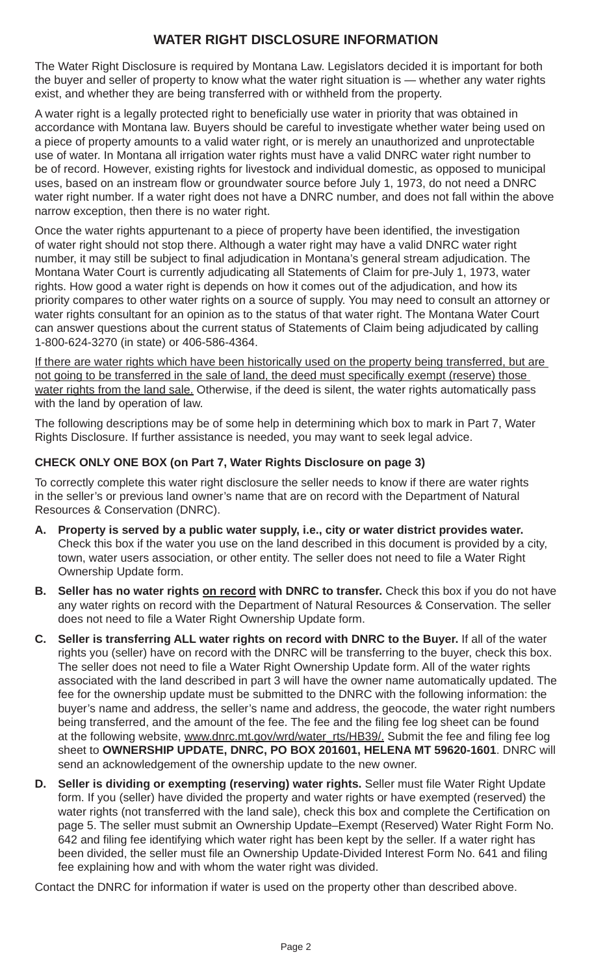# **WATER RIGHT DISCLOSURE INFORMATION**

The Water Right Disclosure is required by Montana Law. Legislators decided it is important for both the buyer and seller of property to know what the water right situation is — whether any water rights exist, and whether they are being transferred with or withheld from the property.

A water right is a legally protected right to beneficially use water in priority that was obtained in accordance with Montana law. Buyers should be careful to investigate whether water being used on a piece of property amounts to a valid water right, or is merely an unauthorized and unprotectable use of water. In Montana all irrigation water rights must have a valid DNRC water right number to be of record. However, existing rights for livestock and individual domestic, as opposed to municipal uses, based on an instream flow or groundwater source before July 1, 1973, do not need a DNRC water right number. If a water right does not have a DNRC number, and does not fall within the above narrow exception, then there is no water right.

Once the water rights appurtenant to a piece of property have been identified, the investigation of water right should not stop there. Although a water right may have a valid DNRC water right number, it may still be subject to final adjudication in Montana's general stream adjudication. The Montana Water Court is currently adjudicating all Statements of Claim for pre-July 1, 1973, water rights. How good a water right is depends on how it comes out of the adjudication, and how its priority compares to other water rights on a source of supply. You may need to consult an attorney or water rights consultant for an opinion as to the status of that water right. The Montana Water Court can answer questions about the current status of Statements of Claim being adjudicated by calling 1-800-624-3270 (in state) or 406-586-4364.

If there are water rights which have been historically used on the property being transferred, but are not going to be transferred in the sale of land, the deed must specifically exempt (reserve) those water rights from the land sale. Otherwise, if the deed is silent, the water rights automatically pass with the land by operation of law.

The following descriptions may be of some help in determining which box to mark in Part 7, Water Rights Disclosure. If further assistance is needed, you may want to seek legal advice.

## **CHECK ONLY ONE BOX (on Part 7, Water Rights Disclosure on page 3)**

To correctly complete this water right disclosure the seller needs to know if there are water rights in the seller's or previous land owner's name that are on record with the Department of Natural Resources & Conservation (DNRC).

- **A. Property is served by a public water supply, i.e., city or water district provides water.** Check this box if the water you use on the land described in this document is provided by a city, town, water users association, or other entity. The seller does not need to file a Water Right Ownership Update form.
- **B.** Seller has no water rights on record with DNRC to transfer. Check this box if you do not have any water rights on record with the Department of Natural Resources & Conservation. The seller does not need to file a Water Right Ownership Update form.
- **C. Seller is transferring ALL water rights on record with DNRC to the Buyer.** If all of the water rights you (seller) have on record with the DNRC will be transferring to the buyer, check this box. The seller does not need to file a Water Right Ownership Update form. All of the water rights associated with the land described in part 3 will have the owner name automatically updated. The fee for the ownership update must be submitted to the DNRC with the following information: the buyer's name and address, the seller's name and address, the geocode, the water right numbers being transferred, and the amount of the fee. The fee and the filing fee log sheet can be found at the following website, www.dnrc.mt.gov/wrd/water\_rts/HB39/. Submit the fee and filing fee log sheet to **OWNERSHIP UPDATE, DNRC, PO BOX 201601, HELENA MT 59620-1601**. DNRC will send an acknowledgement of the ownership update to the new owner.
- **D. Seller is dividing or exempting (reserving) water rights.** Seller must file Water Right Update form. If you (seller) have divided the property and water rights or have exempted (reserved) the water rights (not transferred with the land sale), check this box and complete the Certification on page 5. The seller must submit an Ownership Update–Exempt (Reserved) Water Right Form No. 642 and filing fee identifying which water right has been kept by the seller. If a water right has been divided, the seller must file an Ownership Update-Divided Interest Form No. 641 and filing fee explaining how and with whom the water right was divided.

Contact the DNRC for information if water is used on the property other than described above.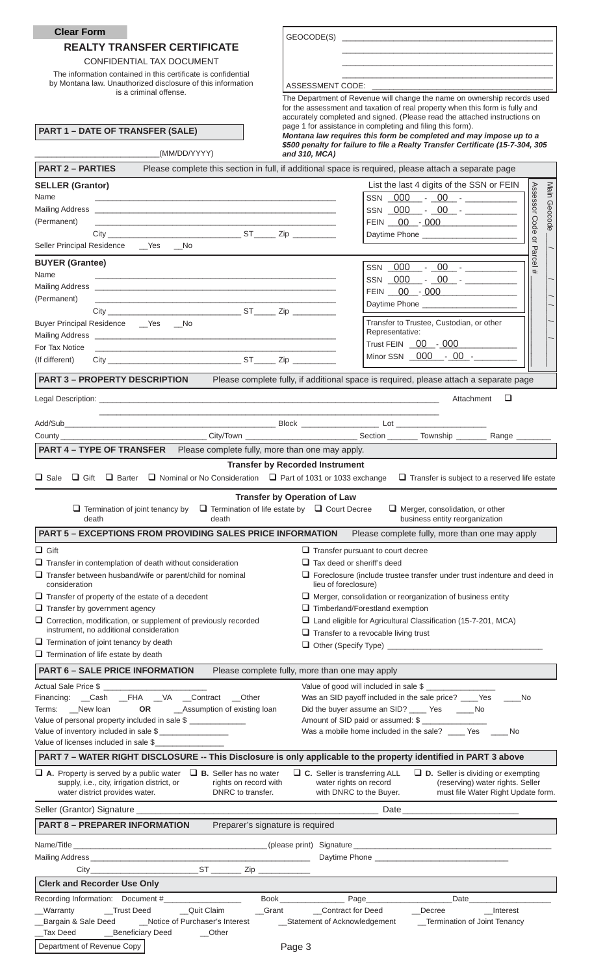| <b>Clear Form</b>                                                                                                                                                                                                              | GEOCODE(S)                                                                                                                                                                                                                                       |
|--------------------------------------------------------------------------------------------------------------------------------------------------------------------------------------------------------------------------------|--------------------------------------------------------------------------------------------------------------------------------------------------------------------------------------------------------------------------------------------------|
| <b>REALTY TRANSFER CERTIFICATE</b>                                                                                                                                                                                             |                                                                                                                                                                                                                                                  |
| CONFIDENTIAL TAX DOCUMENT                                                                                                                                                                                                      |                                                                                                                                                                                                                                                  |
| The information contained in this certificate is confidential                                                                                                                                                                  |                                                                                                                                                                                                                                                  |
| by Montana law. Unauthorized disclosure of this information<br>is a criminal offense.                                                                                                                                          | ASSESSMENT CODE: ______________                                                                                                                                                                                                                  |
|                                                                                                                                                                                                                                | The Department of Revenue will change the name on ownership records used<br>for the assessment and taxation of real property when this form is fully and                                                                                         |
|                                                                                                                                                                                                                                | accurately completed and signed. (Please read the attached instructions on<br>page 1 for assistance in completing and filing this form).                                                                                                         |
| <b>PART 1 - DATE OF TRANSFER (SALE)</b>                                                                                                                                                                                        | Montana law requires this form be completed and may impose up to a                                                                                                                                                                               |
| (MM/DD/YYYY)                                                                                                                                                                                                                   | \$500 penalty for failure to file a Realty Transfer Certificate (15-7-304, 305<br>and 310, MCA)                                                                                                                                                  |
| <b>PART 2 - PARTIES</b>                                                                                                                                                                                                        | Please complete this section in full, if additional space is required, please attach a separate page                                                                                                                                             |
| <b>SELLER (Grantor)</b>                                                                                                                                                                                                        | List the last 4 digits of the SSN or FEIN                                                                                                                                                                                                        |
| Name<br><u> 1980 - Johann John Stone, markin film yn y brenin y brenin y brenin y brenin y brenin y brenin y brenin y br</u>                                                                                                   | Assessor Code or<br>Main Geocode<br>$SSN$ $000 - 00 -$                                                                                                                                                                                           |
|                                                                                                                                                                                                                                |                                                                                                                                                                                                                                                  |
| (Permanent)                                                                                                                                                                                                                    | FEIN 00 - 000                                                                                                                                                                                                                                    |
|                                                                                                                                                                                                                                | Daytime Phone ________________________                                                                                                                                                                                                           |
| Seller Principal Residence __ Yes __ No                                                                                                                                                                                        | $\mathbf \sigma$<br>arce                                                                                                                                                                                                                         |
| <b>BUYER (Grantee)</b>                                                                                                                                                                                                         | SSN 000 - 00 - _______                                                                                                                                                                                                                           |
| Name                                                                                                                                                                                                                           |                                                                                                                                                                                                                                                  |
| (Permanent)<br><u> 1989 - Johann John Stone, markin amerikan basal dan berkembang di banyak di banyak di banyak di banyak di ban</u>                                                                                           | FEIN 00 - 000                                                                                                                                                                                                                                    |
|                                                                                                                                                                                                                                |                                                                                                                                                                                                                                                  |
| Buyer Principal Residence __ Yes __ No                                                                                                                                                                                         | Transfer to Trustee, Custodian, or other<br>Representative:                                                                                                                                                                                      |
| For Tax Notice                                                                                                                                                                                                                 | Trust FEIN 00 - 000                                                                                                                                                                                                                              |
| <u> 1989 - Johann John Stein, markin fan it ferskearre fan it ferskearre fan it ferskearre fan it ferskearre fan</u><br>(If different)                                                                                         |                                                                                                                                                                                                                                                  |
|                                                                                                                                                                                                                                |                                                                                                                                                                                                                                                  |
|                                                                                                                                                                                                                                | <b>PART 3 - PROPERTY DESCRIPTION</b> Please complete fully, if additional space is required, please attach a separate page                                                                                                                       |
| Legal Description: with a state of the control of the control of the control of the control of the control of the control of the control of the control of the control of the control of the control of the control of the con | □<br>Attachment                                                                                                                                                                                                                                  |
|                                                                                                                                                                                                                                |                                                                                                                                                                                                                                                  |
|                                                                                                                                                                                                                                | ___________City/Town ________________________________Section ___________Township ________________________                                                                                                                                        |
| <b>PART 4 - TYPE OF TRANSFER</b> Please complete fully, more than one may apply.                                                                                                                                               |                                                                                                                                                                                                                                                  |
|                                                                                                                                                                                                                                | <b>Transfer by Recorded Instrument</b>                                                                                                                                                                                                           |
|                                                                                                                                                                                                                                |                                                                                                                                                                                                                                                  |
| $\sqcup$ Sale<br>$\Box$ Gift<br>$\Box$ Barter                                                                                                                                                                                  | $\Box$ Nominal or No Consideration $\Box$ Part of 1031 or 1033 exchange<br>$\Box$ Transfer is subject to a reserved life estate                                                                                                                  |
| $\Box$ Termination of joint tenancy by<br>death<br>death                                                                                                                                                                       | <b>Transfer by Operation of Law</b><br>$\Box$ Termination of life estate by $\Box$ Court Decree<br>$\Box$ Merger, consolidation, or other<br>business entity reorganization                                                                      |
| <b>PART 5 - EXCEPTIONS FROM PROVIDING SALES PRICE INFORMATION</b>                                                                                                                                                              | Please complete fully, more than one may apply                                                                                                                                                                                                   |
| $\Box$ Gift                                                                                                                                                                                                                    | $\Box$ Transfer pursuant to court decree                                                                                                                                                                                                         |
| $\Box$ Transfer in contemplation of death without consideration                                                                                                                                                                | $\Box$ Tax deed or sheriff's deed                                                                                                                                                                                                                |
| $\Box$ Transfer between husband/wife or parent/child for nominal                                                                                                                                                               | $\Box$ Foreclosure (include trustee transfer under trust indenture and deed in                                                                                                                                                                   |
| consideration                                                                                                                                                                                                                  | lieu of foreclosure)                                                                                                                                                                                                                             |
| $\Box$ Transfer of property of the estate of a decedent<br>$\Box$ Transfer by government agency                                                                                                                                | $\Box$ Merger, consolidation or reorganization of business entity<br>$\Box$ Timberland/Forestland exemption                                                                                                                                      |
| $\Box$ Correction, modification, or supplement of previously recorded                                                                                                                                                          | $\Box$ Land eligible for Agricultural Classification (15-7-201, MCA)                                                                                                                                                                             |
| instrument, no additional consideration                                                                                                                                                                                        | $\Box$ Transfer to a revocable living trust                                                                                                                                                                                                      |
| $\Box$ Termination of joint tenancy by death<br>$\Box$ Termination of life estate by death                                                                                                                                     |                                                                                                                                                                                                                                                  |
|                                                                                                                                                                                                                                |                                                                                                                                                                                                                                                  |
| <b>PART 6 - SALE PRICE INFORMATION</b>                                                                                                                                                                                         | Please complete fully, more than one may apply                                                                                                                                                                                                   |
| Actual Sale Price \$<br>Financing: Cash _FHA _VA _Contract _Other                                                                                                                                                              | Value of good will included in sale \$<br>Was an SID payoff included in the sale price? ____ Yes _____No                                                                                                                                         |
| New loan<br>Terms:                                                                                                                                                                                                             | Did the buyer assume an SID? _____ Yes ______ No                                                                                                                                                                                                 |
| Value of personal property included in sale \$                                                                                                                                                                                 | Amount of SID paid or assumed: \$                                                                                                                                                                                                                |
| Value of inventory included in sale \$<br>Value of licenses included in sale \$                                                                                                                                                | Was a mobile home included in the sale? ____ Yes ____ No                                                                                                                                                                                         |
|                                                                                                                                                                                                                                | PART 7 - WATER RIGHT DISCLOSURE -- This Disclosure is only applicable to the property identified in PART 3 above                                                                                                                                 |
| $\Box$ B. Seller has no water                                                                                                                                                                                                  |                                                                                                                                                                                                                                                  |
| $\Box$ A. Property is served by a public water<br>supply, i.e., city, irrigation district, or<br>water district provides water.<br>DNRC to transfer.                                                                           | $\Box$ C. Seller is transferring ALL<br>$\Box$ <b>D.</b> Seller is dividing or exempting<br>rights on record with<br>water rights on record<br>(reserving) water rights. Seller<br>with DNRC to the Buyer.<br>must file Water Right Update form. |
| Seller (Grantor) Signature ________                                                                                                                                                                                            | Date                                                                                                                                                                                                                                             |
| <b>PART 8 - PREPARER INFORMATION</b>                                                                                                                                                                                           | Preparer's signature is required                                                                                                                                                                                                                 |
|                                                                                                                                                                                                                                | Name/Title example and the contract of the contract of the contract of the contract of the contract of the contract of the contract of the contract of the contract of the contract of the contract of the contract of the con                   |
|                                                                                                                                                                                                                                |                                                                                                                                                                                                                                                  |
| City                                                                                                                                                                                                                           | $ST$ $\frac{Zip}{2}$                                                                                                                                                                                                                             |
| <b>Clerk and Recorder Use Only</b>                                                                                                                                                                                             |                                                                                                                                                                                                                                                  |
| Recording Information: Document #                                                                                                                                                                                              | Date<br>Book __<br>Page                                                                                                                                                                                                                          |
| _Quit Claim<br>__Warranty<br>_Trust Deed                                                                                                                                                                                       | Contract for Deed<br><b>Grant</b><br>Decree<br>_Interest                                                                                                                                                                                         |
| _Notice of Purchaser's Interest<br>Bargain & Sale Deed<br>Tax Deed<br>Beneficiary Deed<br>$\sqrt{\phantom{a}}$ Other                                                                                                           | Statement of Acknowledgement<br>_Termination of Joint Tenancy                                                                                                                                                                                    |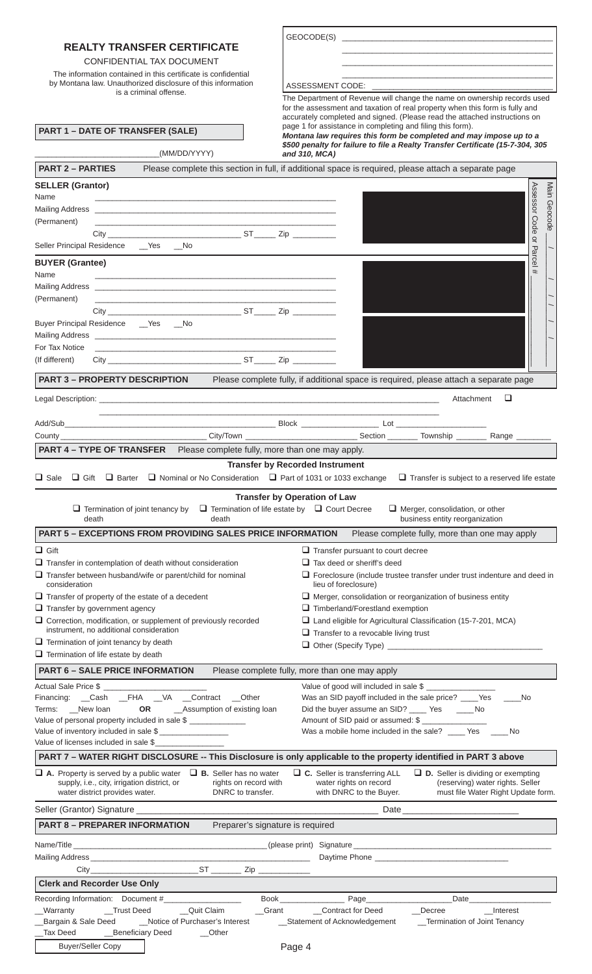|                                                                                                                                                                                                                                | GEOCODE(S)                                                                                                                                                 |
|--------------------------------------------------------------------------------------------------------------------------------------------------------------------------------------------------------------------------------|------------------------------------------------------------------------------------------------------------------------------------------------------------|
| <b>REALTY TRANSFER CERTIFICATE</b>                                                                                                                                                                                             |                                                                                                                                                            |
| CONFIDENTIAL TAX DOCUMENT                                                                                                                                                                                                      | <u> 1989 - Johann John Stein, markin fan it ferstjer fan de ferstjer fan it ferstjer fan it ferstjer fan it fers</u>                                       |
| The information contained in this certificate is confidential<br>by Montana law. Unauthorized disclosure of this information                                                                                                   |                                                                                                                                                            |
| is a criminal offense.                                                                                                                                                                                                         | The Department of Revenue will change the name on ownership records used                                                                                   |
|                                                                                                                                                                                                                                | for the assessment and taxation of real property when this form is fully and<br>accurately completed and signed. (Please read the attached instructions on |
| <b>PART 1 - DATE OF TRANSFER (SALE)</b>                                                                                                                                                                                        | page 1 for assistance in completing and filing this form).                                                                                                 |
|                                                                                                                                                                                                                                | Montana law requires this form be completed and may impose up to a<br>\$500 penalty for failure to file a Realty Transfer Certificate (15-7-304, 305       |
| (MM/DD/YYYY)                                                                                                                                                                                                                   | and 310, MCA)                                                                                                                                              |
| <b>PART 2 - PARTIES</b>                                                                                                                                                                                                        | Please complete this section in full, if additional space is required, please attach a separate page                                                       |
| <b>SELLER (Grantor)</b><br>Name                                                                                                                                                                                                | Assessor Code<br>Main Geocode                                                                                                                              |
|                                                                                                                                                                                                                                |                                                                                                                                                            |
| (Permanent)                                                                                                                                                                                                                    |                                                                                                                                                            |
| Seller Principal Residence __ Yes __ No                                                                                                                                                                                        | $\supseteq$                                                                                                                                                |
|                                                                                                                                                                                                                                | Parcel                                                                                                                                                     |
| <b>BUYER (Grantee)</b><br>Name                                                                                                                                                                                                 | #                                                                                                                                                          |
|                                                                                                                                                                                                                                |                                                                                                                                                            |
| (Permanent)                                                                                                                                                                                                                    |                                                                                                                                                            |
| Buyer Principal Residence __ Yes __ No                                                                                                                                                                                         |                                                                                                                                                            |
|                                                                                                                                                                                                                                |                                                                                                                                                            |
| For Tax Notice<br>the control of the control of the control of the control of the control of the control of                                                                                                                    |                                                                                                                                                            |
| (If different)                                                                                                                                                                                                                 |                                                                                                                                                            |
|                                                                                                                                                                                                                                | PART 3 - PROPERTY DESCRIPTION Please complete fully, if additional space is required, please attach a separate page                                        |
|                                                                                                                                                                                                                                | □<br>Attachment                                                                                                                                            |
|                                                                                                                                                                                                                                |                                                                                                                                                            |
|                                                                                                                                                                                                                                |                                                                                                                                                            |
| <b>PART 4 - TYPE OF TRANSFER</b> Please complete fully, more than one may apply.                                                                                                                                               |                                                                                                                                                            |
|                                                                                                                                                                                                                                | <b>Transfer by Recorded Instrument</b>                                                                                                                     |
| $\Box$ Sale<br>$\Box$ Nominal or No Consideration $\Box$ Part of 1031 or 1033 exchange<br>$\Box$ Gift<br>$\Box$ Barter                                                                                                         | $\Box$ Transfer is subject to a reserved life estate                                                                                                       |
|                                                                                                                                                                                                                                | <b>Transfer by Operation of Law</b>                                                                                                                        |
| $\Box$ Termination of joint tenancy by<br>death<br>death                                                                                                                                                                       | $\Box$ Termination of life estate by $\Box$ Court Decree<br>$\Box$ Merger, consolidation, or other<br>business entity reorganization                       |
| <b>PART 5 - EXCEPTIONS FROM PROVIDING SALES PRICE INFORMATION</b>                                                                                                                                                              | Please complete fully, more than one may apply                                                                                                             |
| $\Box$ Gift                                                                                                                                                                                                                    | $\Box$ Transfer pursuant to court decree                                                                                                                   |
| $\Box$ Transfer in contemplation of death without consideration                                                                                                                                                                | $\Box$ Tax deed or sheriff's deed                                                                                                                          |
| $\Box$ Transfer between husband/wife or parent/child for nominal<br>consideration                                                                                                                                              | $\Box$ Foreclosure (include trustee transfer under trust indenture and deed in<br>lieu of foreclosure)                                                     |
| $\Box$ Transfer of property of the estate of a decedent                                                                                                                                                                        | $\Box$ Merger, consolidation or reorganization of business entity                                                                                          |
| $\Box$ Transfer by government agency                                                                                                                                                                                           | $\Box$ Timberland/Forestland exemption                                                                                                                     |
| $\Box$ Correction, modification, or supplement of previously recorded<br>instrument, no additional consideration                                                                                                               | $\Box$ Land eligible for Agricultural Classification (15-7-201, MCA)<br>$\Box$ Transfer to a revocable living trust                                        |
| $\Box$ Termination of joint tenancy by death                                                                                                                                                                                   |                                                                                                                                                            |
| $\Box$ Termination of life estate by death                                                                                                                                                                                     |                                                                                                                                                            |
| <b>PART 6 - SALE PRICE INFORMATION</b>                                                                                                                                                                                         | Please complete fully, more than one may apply                                                                                                             |
| Actual Sale Price \$<br>Financing: __Cash __FHA __VA __Contract __Other                                                                                                                                                        | Value of good will included in sale \$<br>Was an SID payoff included in the sale price? ____ Yes _____No                                                   |
| OR<br>_Assumption of existing loan<br>Terms: New loan                                                                                                                                                                          | Did the buyer assume an SID? _____ Yes ______ No                                                                                                           |
| Value of personal property included in sale \$                                                                                                                                                                                 | Amount of SID paid or assumed: \$                                                                                                                          |
| Value of inventory included in sale \$<br>Value of licenses included in sale \$                                                                                                                                                | Was a mobile home included in the sale? _____ Yes ______ No                                                                                                |
|                                                                                                                                                                                                                                | PART 7 - WATER RIGHT DISCLOSURE -- This Disclosure is only applicable to the property identified in PART 3 above                                           |
| $\Box$ A. Property is served by a public water $\Box$ B. Seller has no water                                                                                                                                                   | $\Box$ C. Seller is transferring ALL<br>$\Box$ D. Seller is dividing or exempting                                                                          |
| supply, i.e., city, irrigation district, or<br>rights on record with<br>water district provides water.<br>DNRC to transfer.                                                                                                    | water rights on record<br>(reserving) water rights. Seller<br>with DNRC to the Buyer.<br>must file Water Right Update form.                                |
|                                                                                                                                                                                                                                |                                                                                                                                                            |
| <b>PART 8 - PREPARER INFORMATION</b><br>Preparer's signature is required                                                                                                                                                       |                                                                                                                                                            |
| Name/Title example and the set of the set of the set of the set of the set of the set of the set of the set of the set of the set of the set of the set of the set of the set of the set of the set of the set of the set of t |                                                                                                                                                            |
|                                                                                                                                                                                                                                |                                                                                                                                                            |
|                                                                                                                                                                                                                                |                                                                                                                                                            |
| <b>Clerk and Recorder Use Only</b>                                                                                                                                                                                             |                                                                                                                                                            |
| Recording Information: Document #<br>Book _<br>_Trust Deed<br>Quit Claim<br>__Warranty<br>Grant                                                                                                                                | Page<br>Date<br>_Contract for Deed<br>Decree<br>__Interest                                                                                                 |
| Bargain & Sale Deed<br>Notice of Purchaser's Interest                                                                                                                                                                          | _Statement of Acknowledgement<br>_Termination of Joint Tenancy                                                                                             |
| Beneficiary Deed<br><b>Tax Deed</b><br>__Other                                                                                                                                                                                 |                                                                                                                                                            |
| <b>Buyer/Seller Copy</b>                                                                                                                                                                                                       | Page 4                                                                                                                                                     |